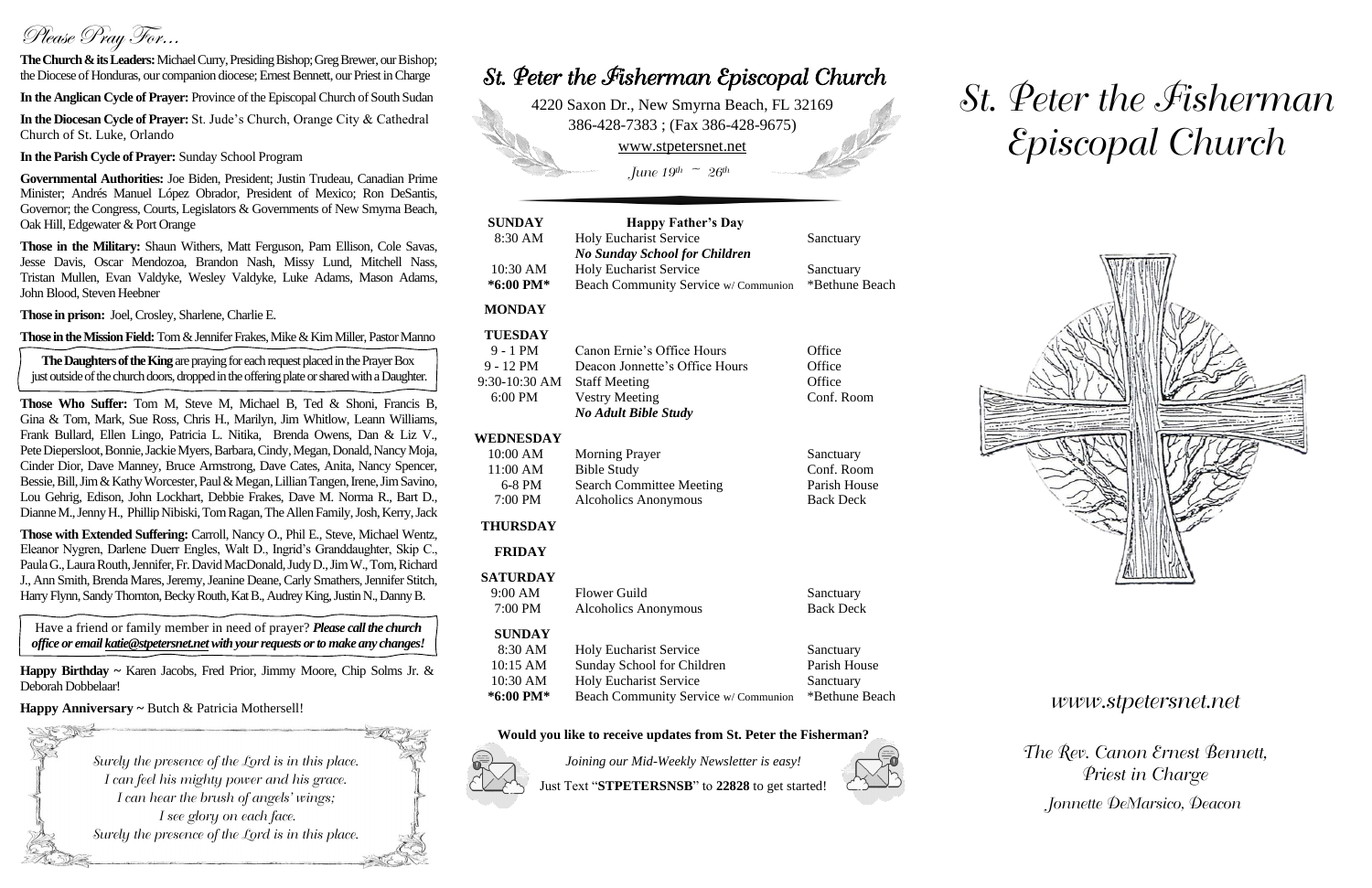# Please Pray For...

**The Church & its Leaders:** Michael Curry, Presiding Bishop; Greg Brewer, our Bishop; the Diocese of Honduras, our companion diocese; Ernest Bennett, our Priest in Charge

**In the Anglican Cycle of Prayer:** Province of the Episcopal Church of South Sudan

**In the Diocesan Cycle of Prayer:** St. Jude's Church, Orange City & Cathedral Church of St. Luke, Orlando

**In the Parish Cycle of Prayer:** Sunday School Program

**Governmental Authorities:** Joe Biden, President; Justin Trudeau, Canadian Prime Minister; Andrés Manuel López Obrador, President of Mexico; Ron DeSantis, Governor; the Congress, Courts, Legislators & Governments of New Smyrna Beach, Oak Hill, Edgewater & Port Orange

**Those in the Military:** Shaun Withers, Matt Ferguson, Pam Ellison, Cole Savas, Jesse Davis, Oscar Mendozoa, Brandon Nash, Missy Lund, Mitchell Nass, Tristan Mullen, Evan Valdyke, Wesley Valdyke, Luke Adams, Mason Adams, John Blood, Steven Heebner

**Those in prison:** Joel, Crosley, Sharlene, Charlie E.

**Those in the Mission Field:**Tom & Jennifer Frakes, Mike & Kim Miller, Pastor Manno

**Those Who Suffer:** Tom M, Steve M, Michael B, Ted & Shoni, Francis B, Gina & Tom, Mark, Sue Ross, Chris H., Marilyn, Jim Whitlow, Leann Williams, Frank Bullard, Ellen Lingo, Patricia L. Nitika, Brenda Owens, Dan & Liz V., Pete Diepersloot, Bonnie, Jackie Myers, Barbara, Cindy, Megan, Donald, Nancy Moja, Cinder Dior, Dave Manney, Bruce Armstrong, Dave Cates, Anita, Nancy Spencer, Bessie, Bill, Jim & Kathy Worcester, Paul & Megan, Lillian Tangen, Irene, Jim Savino, Lou Gehrig, Edison, John Lockhart, Debbie Frakes, Dave M. Norma R., Bart D., Dianne M., Jenny H., Phillip Nibiski, Tom Ragan, The Allen Family, Josh, Kerry, Jack

**Those with Extended Suffering:** Carroll, Nancy O., Phil E., Steve, Michael Wentz, Eleanor Nygren, Darlene Duerr Engles, Walt D., Ingrid's Granddaughter, Skip C., Paula G., Laura Routh, Jennifer, Fr. David MacDonald, Judy D., Jim W., Tom, Richard J., Ann Smith, Brenda Mares, Jeremy, Jeanine Deane, Carly Smathers, Jennifer Stitch, Harry Flynn, Sandy Thornton, Becky Routh, Kat B., Audrey King, Justin N., Danny B.

**Happy Birthday ~** Karen Jacobs, Fred Prior, Jimmy Moore, Chip Solms Jr. & Deborah Dobbelaar!

**Happy Anniversary ~** Butch & Patricia Mothersell!

# St. Peter the Fisherman Episcopal Church

### www.stpetersnet.net

The Rev. Canon Ernest Bennett, Priest in Charge

Jonnette DeMarsico, Deacon

| <b>SUNDAY</b>                                                   | <b>Happy Father's Day</b>                                             |                  |  |  |
|-----------------------------------------------------------------|-----------------------------------------------------------------------|------------------|--|--|
| 8:30 AM                                                         | <b>Holy Eucharist Service</b><br><b>No Sunday School for Children</b> | Sanctuary        |  |  |
| 10:30 AM                                                        | <b>Holy Eucharist Service</b>                                         | Sanctuary        |  |  |
| *6:00 PM*                                                       | Beach Community Service w/Communion                                   | *Bethune Beach   |  |  |
| <b>MONDAY</b>                                                   |                                                                       |                  |  |  |
| <b>TUESDAY</b>                                                  |                                                                       |                  |  |  |
| $9 - 1$ PM                                                      | Canon Ernie's Office Hours                                            | Office           |  |  |
| 9 - 12 PM                                                       | Deacon Jonnette's Office Hours                                        | Office           |  |  |
| 9:30-10:30 AM                                                   | <b>Staff Meeting</b>                                                  | Office           |  |  |
| 6:00 PM                                                         | <b>Vestry Meeting</b>                                                 | Conf. Room       |  |  |
|                                                                 | <b>No Adult Bible Study</b>                                           |                  |  |  |
| WEDNESDAY                                                       |                                                                       |                  |  |  |
| 10:00 AM                                                        | <b>Morning Prayer</b>                                                 | Sanctuary        |  |  |
| 11:00 AM                                                        | <b>Bible Study</b>                                                    | Conf. Room       |  |  |
| 6-8 PM                                                          | <b>Search Committee Meeting</b>                                       | Parish House     |  |  |
| 7:00 PM                                                         | <b>Alcoholics Anonymous</b>                                           | <b>Back Deck</b> |  |  |
| <b>THURSDAY</b>                                                 |                                                                       |                  |  |  |
| <b>FRIDAY</b>                                                   |                                                                       |                  |  |  |
| <b>SATURDAY</b>                                                 |                                                                       |                  |  |  |
| 9:00 AM                                                         | <b>Flower Guild</b>                                                   | Sanctuary        |  |  |
| 7:00 PM                                                         | <b>Alcoholics Anonymous</b>                                           | <b>Back Deck</b> |  |  |
| <b>SUNDAY</b>                                                   |                                                                       |                  |  |  |
| 8:30 AM                                                         | Holy Eucharist Service                                                | Sanctuary        |  |  |
| 10:15 AM                                                        | Sunday School for Children                                            | Parish House     |  |  |
| 10:30 AM                                                        | <b>Holy Eucharist Service</b>                                         | Sanctuary        |  |  |
| *6:00 PM*                                                       | Beach Community Service w/ Communion                                  | *Bethune Beach   |  |  |
|                                                                 |                                                                       |                  |  |  |
| Would you like to receive updates from St. Peter the Fisherman? |                                                                       |                  |  |  |
|                                                                 | Joining our Mid-Weekly Newsletter is easy!                            |                  |  |  |



## St. Peter the Fisherman Episcopal Church

4220 Saxon Dr., New Smyrna Beach, FL 32169 386-428-7383 ; (Fax 386-428-9675) www.stpetersnet.net

June 19th  $~\tilde{}~$  26th

Just Text "**STPETERSNSB**" to **22828** to get started!



| The Daughters of the King are praying for each request placed in the Prayer Box            |  |
|--------------------------------------------------------------------------------------------|--|
| just outside of the church doors, dropped in the offering plate or shared with a Daughter. |  |

Have a friend or family member in need of prayer? *Please call the church office or email katie@stpetersnet.netwith your requests or to make any changes!*